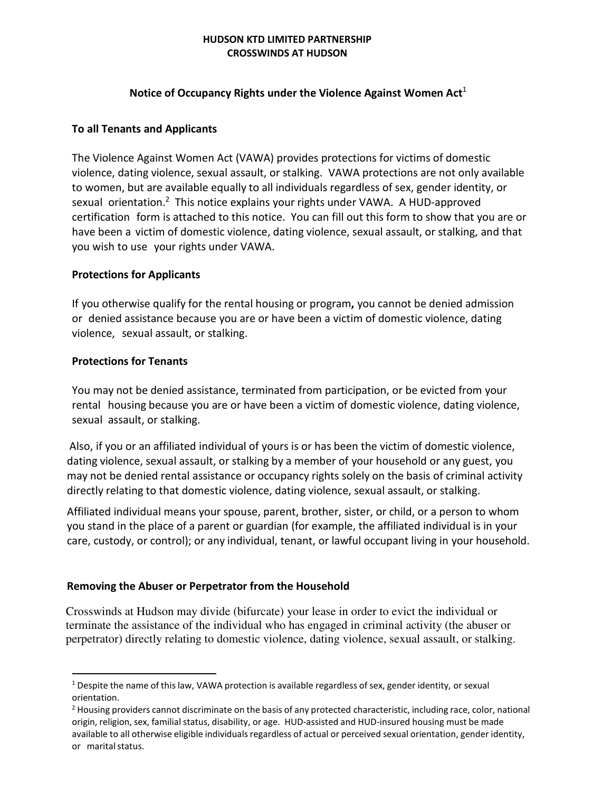### HUDSON KTD LIMITED PARTNERSHIP CROSSWINDS AT HUDSON

## Notice of Occupancy Rights under the Violence Against Women  $Act<sup>1</sup>$

## To all Tenants and Applicants

The Violence Against Women Act (VAWA) provides protections for victims of domestic violence, dating violence, sexual assault, or stalking. VAWA protections are not only available to women, but are available equally to all individuals regardless of sex, gender identity, or sexual orientation.<sup>2</sup> This notice explains your rights under VAWA. A HUD-approved certification form is attached to this notice. You can fill out this form to show that you are or have been a victim of domestic violence, dating violence, sexual assault, or stalking, and that you wish to use your rights under VAWA.

## Protections for Applicants

If you otherwise qualify for the rental housing or program, you cannot be denied admission or denied assistance because you are or have been a victim of domestic violence, dating violence, sexual assault, or stalking.

### Protections for Tenants

You may not be denied assistance, terminated from participation, or be evicted from your rental housing because you are or have been a victim of domestic violence, dating violence, sexual assault, or stalking.

Also, if you or an affiliated individual of yours is or has been the victim of domestic violence, dating violence, sexual assault, or stalking by a member of your household or any guest, you may not be denied rental assistance or occupancy rights solely on the basis of criminal activity directly relating to that domestic violence, dating violence, sexual assault, or stalking.

Affiliated individual means your spouse, parent, brother, sister, or child, or a person to whom you stand in the place of a parent or guardian (for example, the affiliated individual is in your care, custody, or control); or any individual, tenant, or lawful occupant living in your household.

# Removing the Abuser or Perpetrator from the Household

 Crosswinds at Hudson may divide (bifurcate) your lease in order to evict the individual or terminate the assistance of the individual who has engaged in criminal activity (the abuser or perpetrator) directly relating to domestic violence, dating violence, sexual assault, or stalking.

 $1$  Despite the name of this law, VAWA protection is available regardless of sex, gender identity, or sexual orientation.

 $<sup>2</sup>$  Housing providers cannot discriminate on the basis of any protected characteristic, including race, color, national</sup> origin, religion, sex, familial status, disability, or age. HUD-assisted and HUD-insured housing must be made available to all otherwise eligible individuals regardless of actual or perceived sexual orientation, gender identity, or marital status.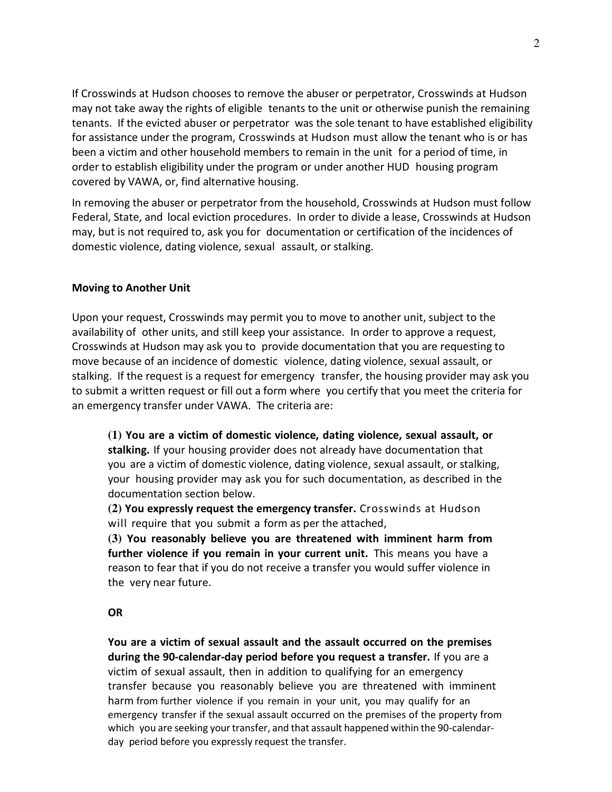If Crosswinds at Hudson chooses to remove the abuser or perpetrator, Crosswinds at Hudson may not take away the rights of eligible tenants to the unit or otherwise punish the remaining tenants. If the evicted abuser or perpetrator was the sole tenant to have established eligibility for assistance under the program, Crosswinds at Hudson must allow the tenant who is or has been a victim and other household members to remain in the unit for a period of time, in order to establish eligibility under the program or under another HUD housing program covered by VAWA, or, find alternative housing.

In removing the abuser or perpetrator from the household, Crosswinds at Hudson must follow Federal, State, and local eviction procedures. In order to divide a lease, Crosswinds at Hudson may, but is not required to, ask you for documentation or certification of the incidences of domestic violence, dating violence, sexual assault, or stalking.

### Moving to Another Unit

Upon your request, Crosswinds may permit you to move to another unit, subject to the availability of other units, and still keep your assistance. In order to approve a request, Crosswinds at Hudson may ask you to provide documentation that you are requesting to move because of an incidence of domestic violence, dating violence, sexual assault, or stalking. If the request is a request for emergency transfer, the housing provider may ask you to submit a written request or fill out a form where you certify that you meet the criteria for an emergency transfer under VAWA. The criteria are:

**(1)** You are a victim of domestic violence, dating violence, sexual assault, or stalking. If your housing provider does not already have documentation that you are a victim of domestic violence, dating violence, sexual assault, or stalking, your housing provider may ask you for such documentation, as described in the documentation section below.

**(2)** You expressly request the emergency transfer. Crosswinds at Hudson will require that you submit a form as per the attached,

**(3)** You reasonably believe you are threatened with imminent harm from further violence if you remain in your current unit. This means you have a reason to fear that if you do not receive a transfer you would suffer violence in the very near future.

#### OR

You are a victim of sexual assault and the assault occurred on the premises during the 90-calendar-day period before you request a transfer. If you are a victim of sexual assault, then in addition to qualifying for an emergency transfer because you reasonably believe you are threatened with imminent harm from further violence if you remain in your unit, you may qualify for an emergency transfer if the sexual assault occurred on the premises of the property from which you are seeking your transfer, and that assault happened within the 90-calendarday period before you expressly request the transfer.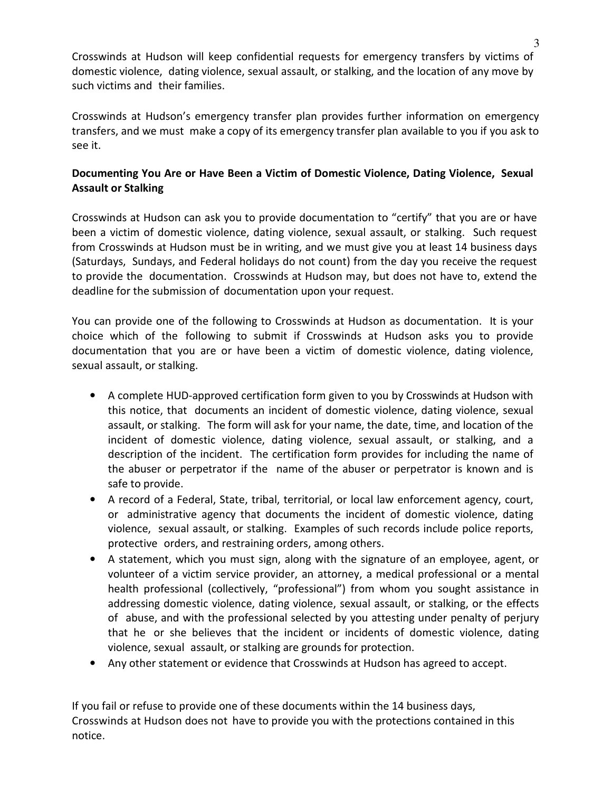Crosswinds at Hudson will keep confidential requests for emergency transfers by victims of domestic violence, dating violence, sexual assault, or stalking, and the location of any move by such victims and their families.

Crosswinds at Hudson's emergency transfer plan provides further information on emergency transfers, and we must make a copy of its emergency transfer plan available to you if you ask to see it.

# Documenting You Are or Have Been a Victim of Domestic Violence, Dating Violence, Sexual Assault or Stalking

Crosswinds at Hudson can ask you to provide documentation to "certify" that you are or have been a victim of domestic violence, dating violence, sexual assault, or stalking. Such request from Crosswinds at Hudson must be in writing, and we must give you at least 14 business days (Saturdays, Sundays, and Federal holidays do not count) from the day you receive the request to provide the documentation. Crosswinds at Hudson may, but does not have to, extend the deadline for the submission of documentation upon your request.

You can provide one of the following to Crosswinds at Hudson as documentation. It is your choice which of the following to submit if Crosswinds at Hudson asks you to provide documentation that you are or have been a victim of domestic violence, dating violence, sexual assault, or stalking.

- A complete HUD-approved certification form given to you by Crosswinds at Hudson with this notice, that documents an incident of domestic violence, dating violence, sexual assault, or stalking. The form will ask for your name, the date, time, and location of the incident of domestic violence, dating violence, sexual assault, or stalking, and a description of the incident. The certification form provides for including the name of the abuser or perpetrator if the name of the abuser or perpetrator is known and is safe to provide.
- A record of a Federal, State, tribal, territorial, or local law enforcement agency, court, or administrative agency that documents the incident of domestic violence, dating violence, sexual assault, or stalking. Examples of such records include police reports, protective orders, and restraining orders, among others.
- A statement, which you must sign, along with the signature of an employee, agent, or volunteer of a victim service provider, an attorney, a medical professional or a mental health professional (collectively, "professional") from whom you sought assistance in addressing domestic violence, dating violence, sexual assault, or stalking, or the effects of abuse, and with the professional selected by you attesting under penalty of perjury that he or she believes that the incident or incidents of domestic violence, dating violence, sexual assault, or stalking are grounds for protection.
- Any other statement or evidence that Crosswinds at Hudson has agreed to accept.

If you fail or refuse to provide one of these documents within the 14 business days, Crosswinds at Hudson does not have to provide you with the protections contained in this notice.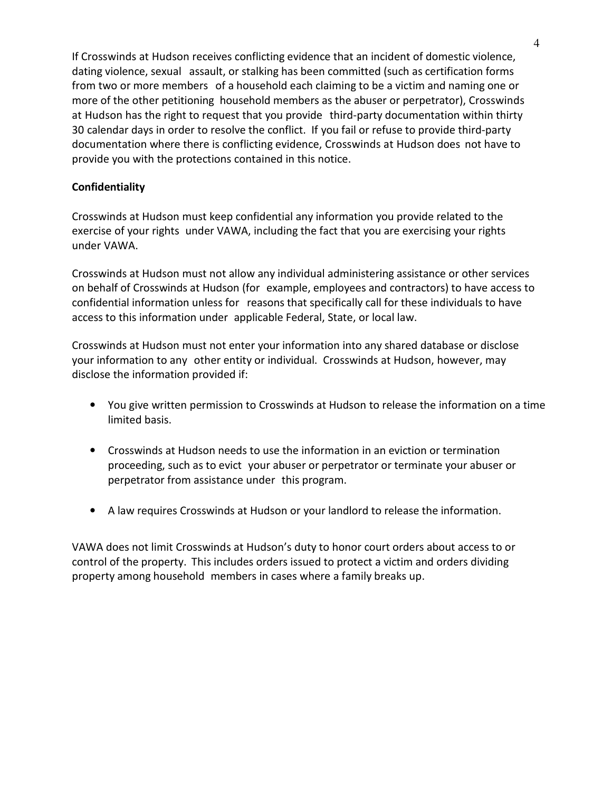If Crosswinds at Hudson receives conflicting evidence that an incident of domestic violence, dating violence, sexual assault, or stalking has been committed (such as certification forms from two or more members of a household each claiming to be a victim and naming one or more of the other petitioning household members as the abuser or perpetrator), Crosswinds at Hudson has the right to request that you provide third-party documentation within thirty 30 calendar days in order to resolve the conflict. If you fail or refuse to provide third-party documentation where there is conflicting evidence, Crosswinds at Hudson does not have to provide you with the protections contained in this notice.

# Confidentiality

Crosswinds at Hudson must keep confidential any information you provide related to the exercise of your rights under VAWA, including the fact that you are exercising your rights under VAWA.

Crosswinds at Hudson must not allow any individual administering assistance or other services on behalf of Crosswinds at Hudson (for example, employees and contractors) to have access to confidential information unless for reasons that specifically call for these individuals to have access to this information under applicable Federal, State, or local law.

Crosswinds at Hudson must not enter your information into any shared database or disclose your information to any other entity or individual. Crosswinds at Hudson, however, may disclose the information provided if:

- You give written permission to Crosswinds at Hudson to release the information on a time limited basis.
- Crosswinds at Hudson needs to use the information in an eviction or termination proceeding, such as to evict your abuser or perpetrator or terminate your abuser or perpetrator from assistance under this program.
- A law requires Crosswinds at Hudson or your landlord to release the information.

VAWA does not limit Crosswinds at Hudson's duty to honor court orders about access to or control of the property. This includes orders issued to protect a victim and orders dividing property among household members in cases where a family breaks up.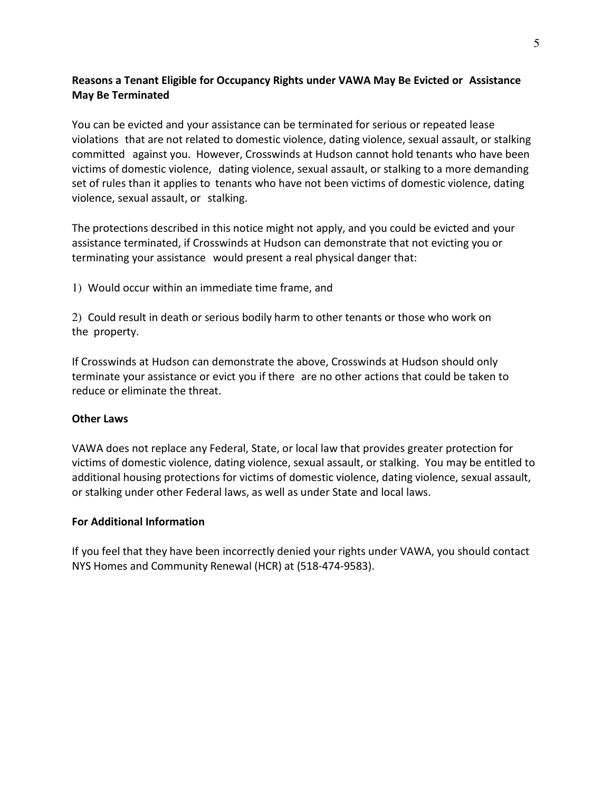# Reasons a Tenant Eligible for Occupancy Rights under VAWA May Be Evicted or Assistance May Be Terminated

You can be evicted and your assistance can be terminated for serious or repeated lease violations that are not related to domestic violence, dating violence, sexual assault, or stalking committed against you. However, Crosswinds at Hudson cannot hold tenants who have been victims of domestic violence, dating violence, sexual assault, or stalking to a more demanding set of rules than it applies to tenants who have not been victims of domestic violence, dating violence, sexual assault, or stalking.

The protections described in this notice might not apply, and you could be evicted and your assistance terminated, if Crosswinds at Hudson can demonstrate that not evicting you or terminating your assistance would present a real physical danger that:

1) Would occur within an immediate time frame, and

2) Could result in death or serious bodily harm to other tenants or those who work on the property.

If Crosswinds at Hudson can demonstrate the above, Crosswinds at Hudson should only terminate your assistance or evict you if there are no other actions that could be taken to reduce or eliminate the threat.

### Other Laws

VAWA does not replace any Federal, State, or local law that provides greater protection for victims of domestic violence, dating violence, sexual assault, or stalking. You may be entitled to additional housing protections for victims of domestic violence, dating violence, sexual assault, or stalking under other Federal laws, as well as under State and local laws.

### For Additional Information

If you feel that they have been incorrectly denied your rights under VAWA, you should contact NYS Homes and Community Renewal (HCR) at (518-474-9583).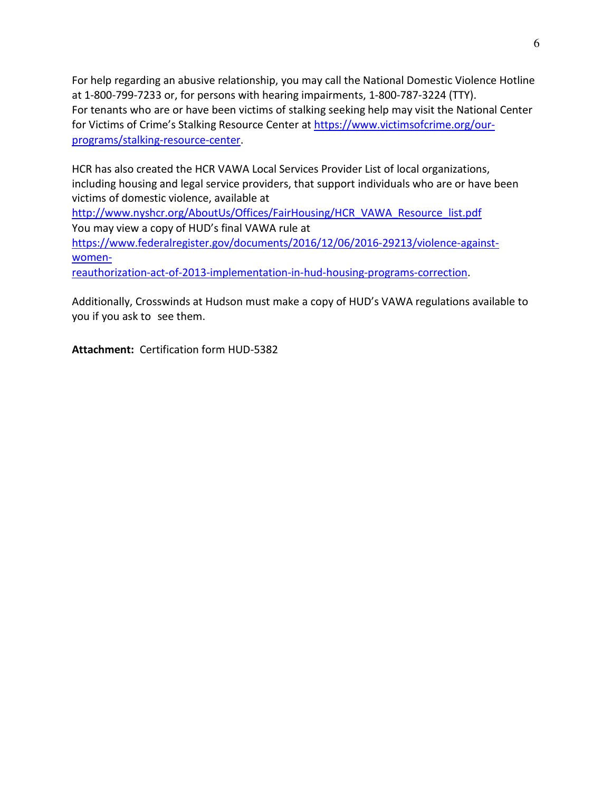For help regarding an abusive relationship, you may call the National Domestic Violence Hotline at 1-800-799-7233 or, for persons with hearing impairments, 1-800-787-3224 (TTY). For tenants who are or have been victims of stalking seeking help may visit the National Center for Victims of Crime's Stalking Resource Center at https://www.victimsofcrime.org/ourprograms/stalking-resource-center.

HCR has also created the HCR VAWA Local Services Provider List of local organizations, including housing and legal service providers, that support individuals who are or have been victims of domestic violence, available at

http://www.nyshcr.org/AboutUs/Offices/FairHousing/HCR\_VAWA\_Resource\_list.pdf You may view a copy of HUD's final VAWA rule at https://www.federalregister.gov/documents/2016/12/06/2016-29213/violence-againstwomen-

reauthorization-act-of-2013-implementation-in-hud-housing-programs-correction.

Additionally, Crosswinds at Hudson must make a copy of HUD's VAWA regulations available to you if you ask to see them.

Attachment: Certification form HUD-5382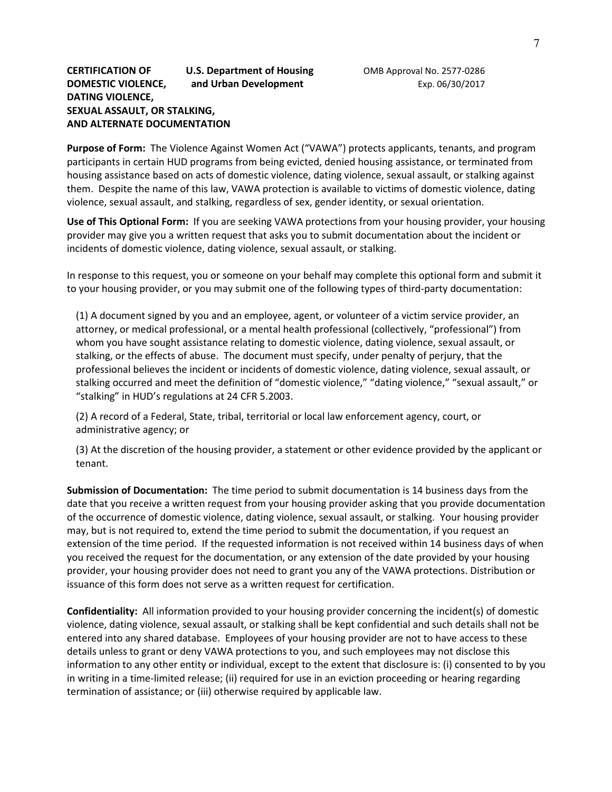### CERTIFICATION OF **U.S. Department of Housing** OMB Approval No. 2577-0286 DOMESTIC VIOLENCE, and Urban Development Exp. 06/30/2017 DATING VIOLENCE, SEXUAL ASSAULT, OR STALKING, AND ALTERNATE DOCUMENTATION

Purpose of Form: The Violence Against Women Act ("VAWA") protects applicants, tenants, and program participants in certain HUD programs from being evicted, denied housing assistance, or terminated from housing assistance based on acts of domestic violence, dating violence, sexual assault, or stalking against them. Despite the name of this law, VAWA protection is available to victims of domestic violence, dating violence, sexual assault, and stalking, regardless of sex, gender identity, or sexual orientation.

Use of This Optional Form: If you are seeking VAWA protections from your housing provider, your housing provider may give you a written request that asks you to submit documentation about the incident or incidents of domestic violence, dating violence, sexual assault, or stalking.

In response to this request, you or someone on your behalf may complete this optional form and submit it to your housing provider, or you may submit one of the following types of third-party documentation:

(1) A document signed by you and an employee, agent, or volunteer of a victim service provider, an attorney, or medical professional, or a mental health professional (collectively, "professional") from whom you have sought assistance relating to domestic violence, dating violence, sexual assault, or stalking, or the effects of abuse. The document must specify, under penalty of perjury, that the professional believes the incident or incidents of domestic violence, dating violence, sexual assault, or stalking occurred and meet the definition of "domestic violence," "dating violence," "sexual assault," or "stalking" in HUD's regulations at 24 CFR 5.2003.

(2) A record of a Federal, State, tribal, territorial or local law enforcement agency, court, or administrative agency; or

(3) At the discretion of the housing provider, a statement or other evidence provided by the applicant or tenant.

Submission of Documentation: The time period to submit documentation is 14 business days from the date that you receive a written request from your housing provider asking that you provide documentation of the occurrence of domestic violence, dating violence, sexual assault, or stalking. Your housing provider may, but is not required to, extend the time period to submit the documentation, if you request an extension of the time period. If the requested information is not received within 14 business days of when you received the request for the documentation, or any extension of the date provided by your housing provider, your housing provider does not need to grant you any of the VAWA protections. Distribution or issuance of this form does not serve as a written request for certification.

Confidentiality: All information provided to your housing provider concerning the incident(s) of domestic violence, dating violence, sexual assault, or stalking shall be kept confidential and such details shall not be entered into any shared database. Employees of your housing provider are not to have access to these details unless to grant or deny VAWA protections to you, and such employees may not disclose this information to any other entity or individual, except to the extent that disclosure is: (i) consented to by you in writing in a time-limited release; (ii) required for use in an eviction proceeding or hearing regarding termination of assistance; or (iii) otherwise required by applicable law.